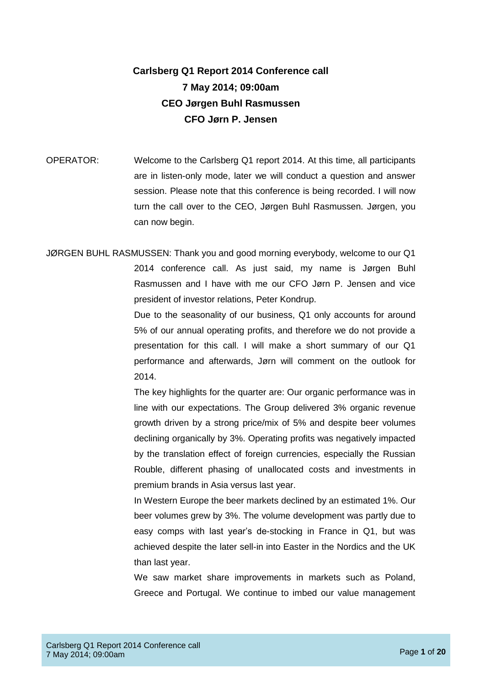## **Carlsberg Q1 Report 2014 Conference call 7 May 2014; 09:00am CEO Jørgen Buhl Rasmussen CFO Jørn P. Jensen**

OPERATOR: Welcome to the Carlsberg Q1 report 2014. At this time, all participants are in listen-only mode, later we will conduct a question and answer session. Please note that this conference is being recorded. I will now turn the call over to the CEO, Jørgen Buhl Rasmussen. Jørgen, you can now begin.

JØRGEN BUHL RASMUSSEN: Thank you and good morning everybody, welcome to our Q1 2014 conference call. As just said, my name is Jørgen Buhl Rasmussen and I have with me our CFO Jørn P. Jensen and vice president of investor relations, Peter Kondrup.

> Due to the seasonality of our business, Q1 only accounts for around 5% of our annual operating profits, and therefore we do not provide a presentation for this call. I will make a short summary of our Q1 performance and afterwards, Jørn will comment on the outlook for 2014.

> The key highlights for the quarter are: Our organic performance was in line with our expectations. The Group delivered 3% organic revenue growth driven by a strong price/mix of 5% and despite beer volumes declining organically by 3%. Operating profits was negatively impacted by the translation effect of foreign currencies, especially the Russian Rouble, different phasing of unallocated costs and investments in premium brands in Asia versus last year.

> In Western Europe the beer markets declined by an estimated 1%. Our beer volumes grew by 3%. The volume development was partly due to easy comps with last year's de-stocking in France in Q1, but was achieved despite the later sell-in into Easter in the Nordics and the UK than last year.

> We saw market share improvements in markets such as Poland, Greece and Portugal. We continue to imbed our value management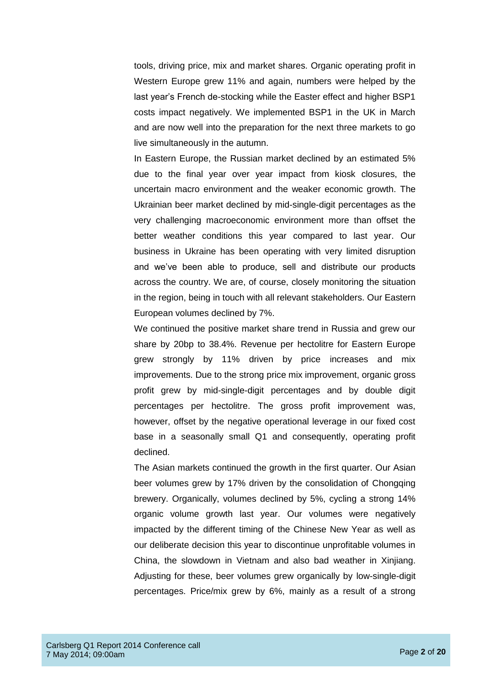tools, driving price, mix and market shares. Organic operating profit in Western Europe grew 11% and again, numbers were helped by the last year's French de-stocking while the Easter effect and higher BSP1 costs impact negatively. We implemented BSP1 in the UK in March and are now well into the preparation for the next three markets to go live simultaneously in the autumn.

In Eastern Europe, the Russian market declined by an estimated 5% due to the final year over year impact from kiosk closures, the uncertain macro environment and the weaker economic growth. The Ukrainian beer market declined by mid-single-digit percentages as the very challenging macroeconomic environment more than offset the better weather conditions this year compared to last year. Our business in Ukraine has been operating with very limited disruption and we've been able to produce, sell and distribute our products across the country. We are, of course, closely monitoring the situation in the region, being in touch with all relevant stakeholders. Our Eastern European volumes declined by 7%.

We continued the positive market share trend in Russia and grew our share by 20bp to 38.4%. Revenue per hectolitre for Eastern Europe grew strongly by 11% driven by price increases and mix improvements. Due to the strong price mix improvement, organic gross profit grew by mid-single-digit percentages and by double digit percentages per hectolitre. The gross profit improvement was, however, offset by the negative operational leverage in our fixed cost base in a seasonally small Q1 and consequently, operating profit declined.

The Asian markets continued the growth in the first quarter. Our Asian beer volumes grew by 17% driven by the consolidation of Chongqing brewery. Organically, volumes declined by 5%, cycling a strong 14% organic volume growth last year. Our volumes were negatively impacted by the different timing of the Chinese New Year as well as our deliberate decision this year to discontinue unprofitable volumes in China, the slowdown in Vietnam and also bad weather in Xinjiang. Adjusting for these, beer volumes grew organically by low-single-digit percentages. Price/mix grew by 6%, mainly as a result of a strong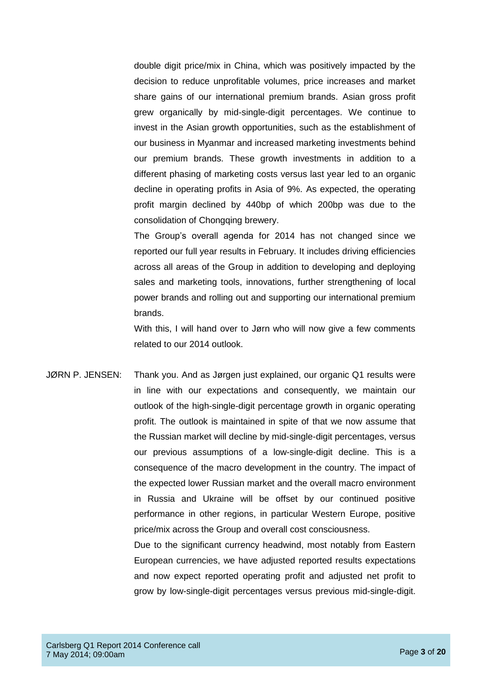double digit price/mix in China, which was positively impacted by the decision to reduce unprofitable volumes, price increases and market share gains of our international premium brands. Asian gross profit grew organically by mid-single-digit percentages. We continue to invest in the Asian growth opportunities, such as the establishment of our business in Myanmar and increased marketing investments behind our premium brands. These growth investments in addition to a different phasing of marketing costs versus last year led to an organic decline in operating profits in Asia of 9%. As expected, the operating profit margin declined by 440bp of which 200bp was due to the consolidation of Chongqing brewery.

The Group's overall agenda for 2014 has not changed since we reported our full year results in February. It includes driving efficiencies across all areas of the Group in addition to developing and deploying sales and marketing tools, innovations, further strengthening of local power brands and rolling out and supporting our international premium brands.

With this, I will hand over to Jørn who will now give a few comments related to our 2014 outlook.

JØRN P. JENSEN: Thank you. And as Jørgen just explained, our organic Q1 results were in line with our expectations and consequently, we maintain our outlook of the high-single-digit percentage growth in organic operating profit. The outlook is maintained in spite of that we now assume that the Russian market will decline by mid-single-digit percentages, versus our previous assumptions of a low-single-digit decline. This is a consequence of the macro development in the country. The impact of the expected lower Russian market and the overall macro environment in Russia and Ukraine will be offset by our continued positive performance in other regions, in particular Western Europe, positive price/mix across the Group and overall cost consciousness.

> Due to the significant currency headwind, most notably from Eastern European currencies, we have adjusted reported results expectations and now expect reported operating profit and adjusted net profit to grow by low-single-digit percentages versus previous mid-single-digit.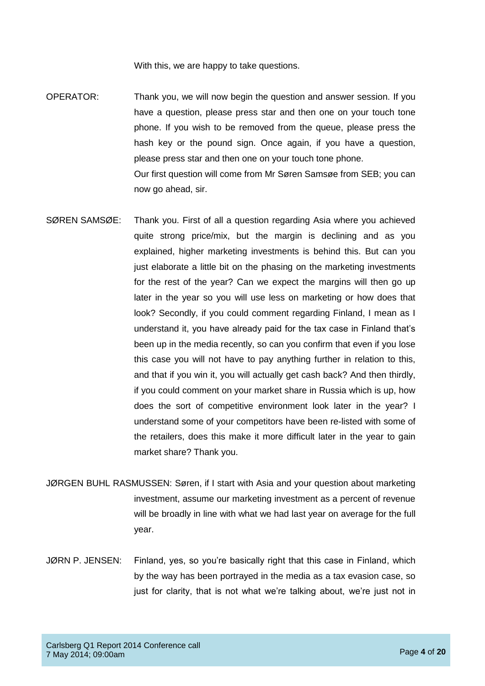With this, we are happy to take questions.

- OPERATOR: Thank you, we will now begin the question and answer session. If you have a question, please press star and then one on your touch tone phone. If you wish to be removed from the queue, please press the hash key or the pound sign. Once again, if you have a question, please press star and then one on your touch tone phone. Our first question will come from Mr Søren Samsøe from SEB; you can now go ahead, sir.
- SØREN SAMSØE: Thank you. First of all a question regarding Asia where you achieved quite strong price/mix, but the margin is declining and as you explained, higher marketing investments is behind this. But can you just elaborate a little bit on the phasing on the marketing investments for the rest of the year? Can we expect the margins will then go up later in the year so you will use less on marketing or how does that look? Secondly, if you could comment regarding Finland, I mean as I understand it, you have already paid for the tax case in Finland that's been up in the media recently, so can you confirm that even if you lose this case you will not have to pay anything further in relation to this, and that if you win it, you will actually get cash back? And then thirdly, if you could comment on your market share in Russia which is up, how does the sort of competitive environment look later in the year? I understand some of your competitors have been re-listed with some of the retailers, does this make it more difficult later in the year to gain market share? Thank you.
- JØRGEN BUHL RASMUSSEN: Søren, if I start with Asia and your question about marketing investment, assume our marketing investment as a percent of revenue will be broadly in line with what we had last year on average for the full year.
- JØRN P. JENSEN: Finland, yes, so you're basically right that this case in Finland, which by the way has been portrayed in the media as a tax evasion case, so just for clarity, that is not what we're talking about, we're just not in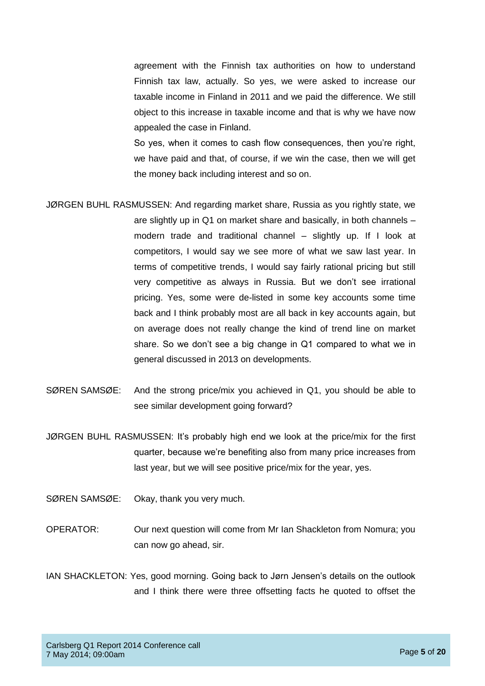agreement with the Finnish tax authorities on how to understand Finnish tax law, actually. So yes, we were asked to increase our taxable income in Finland in 2011 and we paid the difference. We still object to this increase in taxable income and that is why we have now appealed the case in Finland.

So yes, when it comes to cash flow consequences, then you're right, we have paid and that, of course, if we win the case, then we will get the money back including interest and so on.

- JØRGEN BUHL RASMUSSEN: And regarding market share, Russia as you rightly state, we are slightly up in Q1 on market share and basically, in both channels – modern trade and traditional channel – slightly up. If I look at competitors, I would say we see more of what we saw last year. In terms of competitive trends, I would say fairly rational pricing but still very competitive as always in Russia. But we don't see irrational pricing. Yes, some were de-listed in some key accounts some time back and I think probably most are all back in key accounts again, but on average does not really change the kind of trend line on market share. So we don't see a big change in Q1 compared to what we in general discussed in 2013 on developments.
- SØREN SAMSØE: And the strong price/mix you achieved in Q1, you should be able to see similar development going forward?
- JØRGEN BUHL RASMUSSEN: It's probably high end we look at the price/mix for the first quarter, because we're benefiting also from many price increases from last year, but we will see positive price/mix for the year, yes.
- SØREN SAMSØE: Okay, thank you very much.
- OPERATOR: Our next question will come from Mr Ian Shackleton from Nomura; you can now go ahead, sir.
- IAN SHACKLETON: Yes, good morning. Going back to Jørn Jensen's details on the outlook and I think there were three offsetting facts he quoted to offset the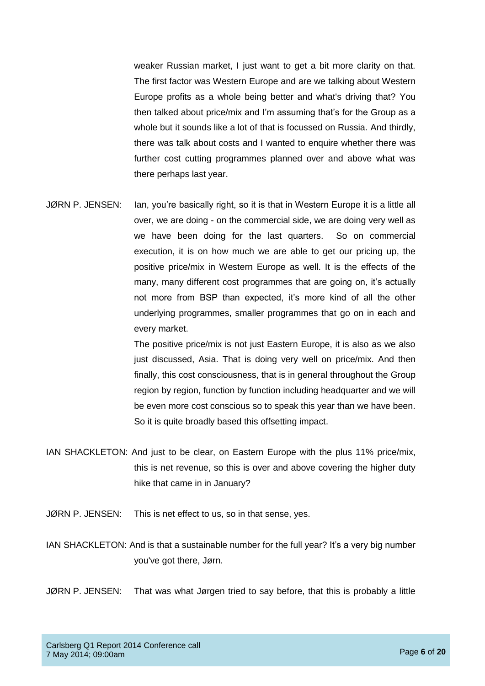weaker Russian market, I just want to get a bit more clarity on that. The first factor was Western Europe and are we talking about Western Europe profits as a whole being better and what's driving that? You then talked about price/mix and I'm assuming that's for the Group as a whole but it sounds like a lot of that is focussed on Russia. And thirdly, there was talk about costs and I wanted to enquire whether there was further cost cutting programmes planned over and above what was there perhaps last year.

JØRN P. JENSEN: Ian, you're basically right, so it is that in Western Europe it is a little all over, we are doing - on the commercial side, we are doing very well as we have been doing for the last quarters. So on commercial execution, it is on how much we are able to get our pricing up, the positive price/mix in Western Europe as well. It is the effects of the many, many different cost programmes that are going on, it's actually not more from BSP than expected, it's more kind of all the other underlying programmes, smaller programmes that go on in each and every market.

> The positive price/mix is not just Eastern Europe, it is also as we also just discussed, Asia. That is doing very well on price/mix. And then finally, this cost consciousness, that is in general throughout the Group region by region, function by function including headquarter and we will be even more cost conscious so to speak this year than we have been. So it is quite broadly based this offsetting impact.

- IAN SHACKLETON: And just to be clear, on Eastern Europe with the plus 11% price/mix, this is net revenue, so this is over and above covering the higher duty hike that came in in January?
- JØRN P. JENSEN: This is net effect to us, so in that sense, yes.

IAN SHACKLETON: And is that a sustainable number for the full year? It's a very big number you've got there, Jørn.

JØRN P. JENSEN: That was what Jørgen tried to say before, that this is probably a little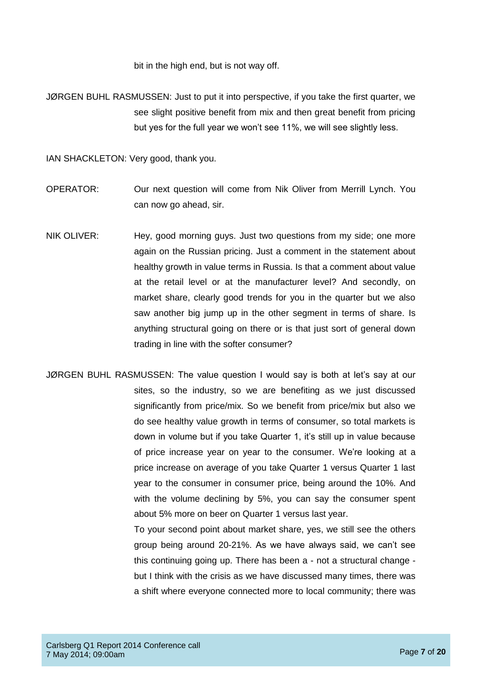bit in the high end, but is not way off.

JØRGEN BUHL RASMUSSEN: Just to put it into perspective, if you take the first quarter, we see slight positive benefit from mix and then great benefit from pricing but yes for the full year we won't see 11%, we will see slightly less.

IAN SHACKLETON: Very good, thank you.

- OPERATOR: Our next question will come from Nik Oliver from Merrill Lynch. You can now go ahead, sir.
- NIK OLIVER: Hey, good morning guys. Just two questions from my side; one more again on the Russian pricing. Just a comment in the statement about healthy growth in value terms in Russia. Is that a comment about value at the retail level or at the manufacturer level? And secondly, on market share, clearly good trends for you in the quarter but we also saw another big jump up in the other segment in terms of share. Is anything structural going on there or is that just sort of general down trading in line with the softer consumer?
- JØRGEN BUHL RASMUSSEN: The value question I would say is both at let's say at our sites, so the industry, so we are benefiting as we just discussed significantly from price/mix. So we benefit from price/mix but also we do see healthy value growth in terms of consumer, so total markets is down in volume but if you take Quarter 1, it's still up in value because of price increase year on year to the consumer. We're looking at a price increase on average of you take Quarter 1 versus Quarter 1 last year to the consumer in consumer price, being around the 10%. And with the volume declining by 5%, you can say the consumer spent about 5% more on beer on Quarter 1 versus last year.

To your second point about market share, yes, we still see the others group being around 20-21%. As we have always said, we can't see this continuing going up. There has been a - not a structural change but I think with the crisis as we have discussed many times, there was a shift where everyone connected more to local community; there was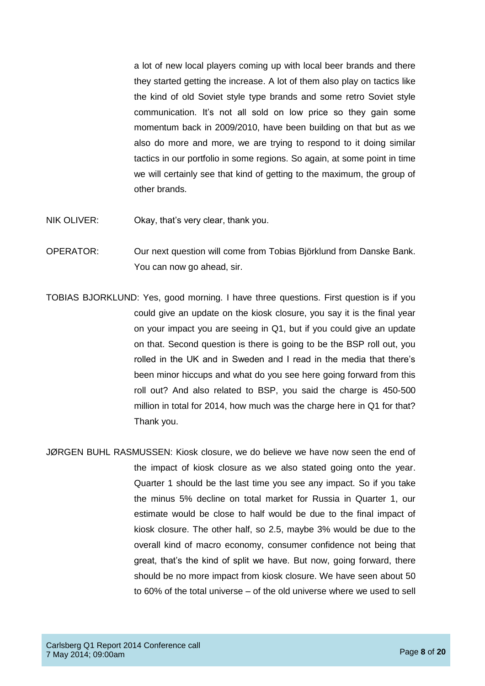a lot of new local players coming up with local beer brands and there they started getting the increase. A lot of them also play on tactics like the kind of old Soviet style type brands and some retro Soviet style communication. It's not all sold on low price so they gain some momentum back in 2009/2010, have been building on that but as we also do more and more, we are trying to respond to it doing similar tactics in our portfolio in some regions. So again, at some point in time we will certainly see that kind of getting to the maximum, the group of other brands.

- NIK OLIVER: Okay, that's very clear, thank you.
- OPERATOR: Our next question will come from Tobias Björklund from Danske Bank. You can now go ahead, sir.
- TOBIAS BJORKLUND: Yes, good morning. I have three questions. First question is if you could give an update on the kiosk closure, you say it is the final year on your impact you are seeing in Q1, but if you could give an update on that. Second question is there is going to be the BSP roll out, you rolled in the UK and in Sweden and I read in the media that there's been minor hiccups and what do you see here going forward from this roll out? And also related to BSP, you said the charge is 450-500 million in total for 2014, how much was the charge here in Q1 for that? Thank you.
- JØRGEN BUHL RASMUSSEN: Kiosk closure, we do believe we have now seen the end of the impact of kiosk closure as we also stated going onto the year. Quarter 1 should be the last time you see any impact. So if you take the minus 5% decline on total market for Russia in Quarter 1, our estimate would be close to half would be due to the final impact of kiosk closure. The other half, so 2.5, maybe 3% would be due to the overall kind of macro economy, consumer confidence not being that great, that's the kind of split we have. But now, going forward, there should be no more impact from kiosk closure. We have seen about 50 to 60% of the total universe – of the old universe where we used to sell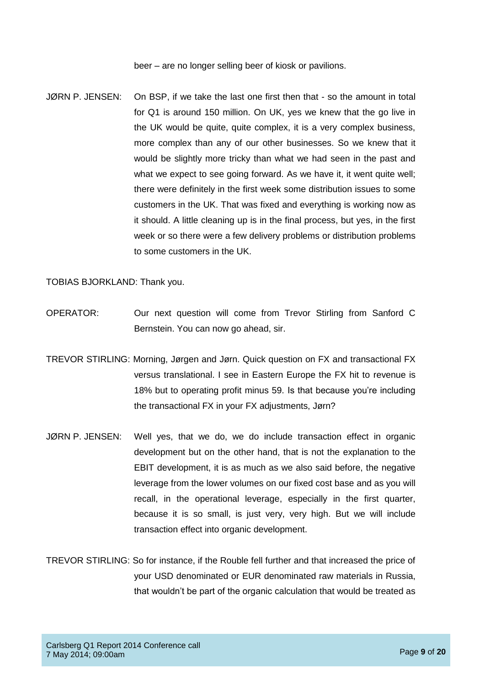beer – are no longer selling beer of kiosk or pavilions.

JØRN P. JENSEN: On BSP, if we take the last one first then that - so the amount in total for Q1 is around 150 million. On UK, yes we knew that the go live in the UK would be quite, quite complex, it is a very complex business, more complex than any of our other businesses. So we knew that it would be slightly more tricky than what we had seen in the past and what we expect to see going forward. As we have it, it went quite well; there were definitely in the first week some distribution issues to some customers in the UK. That was fixed and everything is working now as it should. A little cleaning up is in the final process, but yes, in the first week or so there were a few delivery problems or distribution problems to some customers in the UK.

TOBIAS BJORKLAND: Thank you.

- OPERATOR: Our next question will come from Trevor Stirling from Sanford C Bernstein. You can now go ahead, sir.
- TREVOR STIRLING: Morning, Jørgen and Jørn. Quick question on FX and transactional FX versus translational. I see in Eastern Europe the FX hit to revenue is 18% but to operating profit minus 59. Is that because you're including the transactional FX in your FX adjustments, Jørn?
- JØRN P. JENSEN: Well yes, that we do, we do include transaction effect in organic development but on the other hand, that is not the explanation to the EBIT development, it is as much as we also said before, the negative leverage from the lower volumes on our fixed cost base and as you will recall, in the operational leverage, especially in the first quarter, because it is so small, is just very, very high. But we will include transaction effect into organic development.
- TREVOR STIRLING: So for instance, if the Rouble fell further and that increased the price of your USD denominated or EUR denominated raw materials in Russia, that wouldn't be part of the organic calculation that would be treated as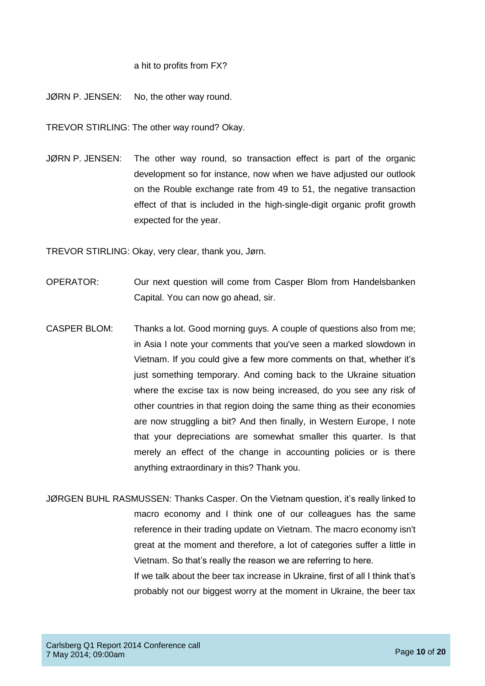## a hit to profits from FX?

JØRN P. JENSEN: No, the other way round.

TREVOR STIRLING: The other way round? Okay.

JØRN P. JENSEN: The other way round, so transaction effect is part of the organic development so for instance, now when we have adjusted our outlook on the Rouble exchange rate from 49 to 51, the negative transaction effect of that is included in the high-single-digit organic profit growth expected for the year.

TREVOR STIRLING: Okay, very clear, thank you, Jørn.

- OPERATOR: Our next question will come from Casper Blom from Handelsbanken Capital. You can now go ahead, sir.
- CASPER BLOM: Thanks a lot. Good morning guys. A couple of questions also from me; in Asia I note your comments that you've seen a marked slowdown in Vietnam. If you could give a few more comments on that, whether it's just something temporary. And coming back to the Ukraine situation where the excise tax is now being increased, do you see any risk of other countries in that region doing the same thing as their economies are now struggling a bit? And then finally, in Western Europe, I note that your depreciations are somewhat smaller this quarter. Is that merely an effect of the change in accounting policies or is there anything extraordinary in this? Thank you.
- JØRGEN BUHL RASMUSSEN: Thanks Casper. On the Vietnam question, it's really linked to macro economy and I think one of our colleagues has the same reference in their trading update on Vietnam. The macro economy isn't great at the moment and therefore, a lot of categories suffer a little in Vietnam. So that's really the reason we are referring to here. If we talk about the beer tax increase in Ukraine, first of all I think that's probably not our biggest worry at the moment in Ukraine, the beer tax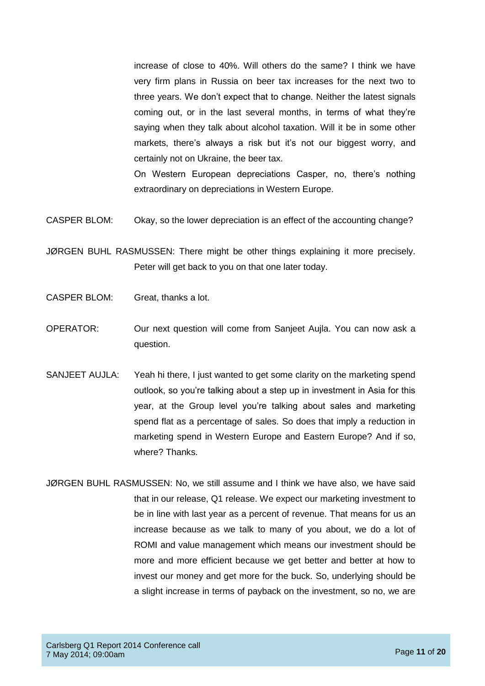increase of close to 40%. Will others do the same? I think we have very firm plans in Russia on beer tax increases for the next two to three years. We don't expect that to change. Neither the latest signals coming out, or in the last several months, in terms of what they're saying when they talk about alcohol taxation. Will it be in some other markets, there's always a risk but it's not our biggest worry, and certainly not on Ukraine, the beer tax.

On Western European depreciations Casper, no, there's nothing extraordinary on depreciations in Western Europe.

CASPER BLOM: Okay, so the lower depreciation is an effect of the accounting change?

JØRGEN BUHL RASMUSSEN: There might be other things explaining it more precisely. Peter will get back to you on that one later today.

- CASPER BLOM: Great, thanks a lot.
- OPERATOR: Our next question will come from Sanjeet Aujla. You can now ask a question.
- SANJEET AUJLA: Yeah hi there, I just wanted to get some clarity on the marketing spend outlook, so you're talking about a step up in investment in Asia for this year, at the Group level you're talking about sales and marketing spend flat as a percentage of sales. So does that imply a reduction in marketing spend in Western Europe and Eastern Europe? And if so, where? Thanks.
- JØRGEN BUHL RASMUSSEN: No, we still assume and I think we have also, we have said that in our release, Q1 release. We expect our marketing investment to be in line with last year as a percent of revenue. That means for us an increase because as we talk to many of you about, we do a lot of ROMI and value management which means our investment should be more and more efficient because we get better and better at how to invest our money and get more for the buck. So, underlying should be a slight increase in terms of payback on the investment, so no, we are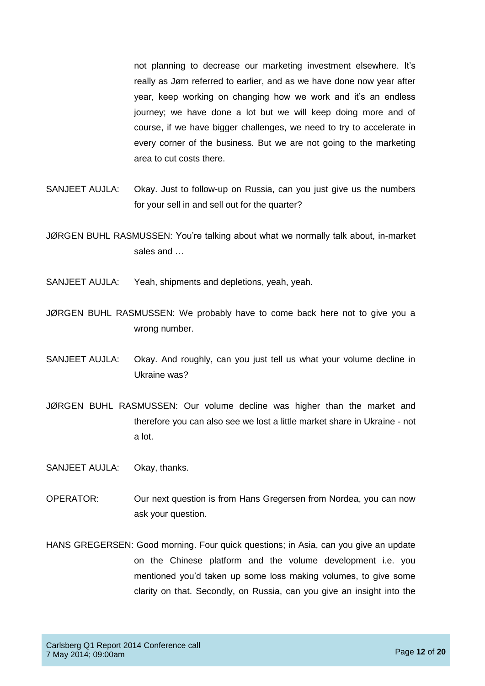not planning to decrease our marketing investment elsewhere. It's really as Jørn referred to earlier, and as we have done now year after year, keep working on changing how we work and it's an endless journey; we have done a lot but we will keep doing more and of course, if we have bigger challenges, we need to try to accelerate in every corner of the business. But we are not going to the marketing area to cut costs there.

- SANJEET AUJLA: Okay. Just to follow-up on Russia, can you just give us the numbers for your sell in and sell out for the quarter?
- JØRGEN BUHL RASMUSSEN: You're talking about what we normally talk about, in-market sales and …
- SANJEET AUJLA: Yeah, shipments and depletions, yeah, yeah.
- JØRGEN BUHL RASMUSSEN: We probably have to come back here not to give you a wrong number.
- SANJEET AUJLA: Okay. And roughly, can you just tell us what your volume decline in Ukraine was?
- JØRGEN BUHL RASMUSSEN: Our volume decline was higher than the market and therefore you can also see we lost a little market share in Ukraine - not a lot.
- SANJEET AUJLA: Okay, thanks.
- OPERATOR: Our next question is from Hans Gregersen from Nordea, you can now ask your question.
- HANS GREGERSEN: Good morning. Four quick questions; in Asia, can you give an update on the Chinese platform and the volume development i.e. you mentioned you'd taken up some loss making volumes, to give some clarity on that. Secondly, on Russia, can you give an insight into the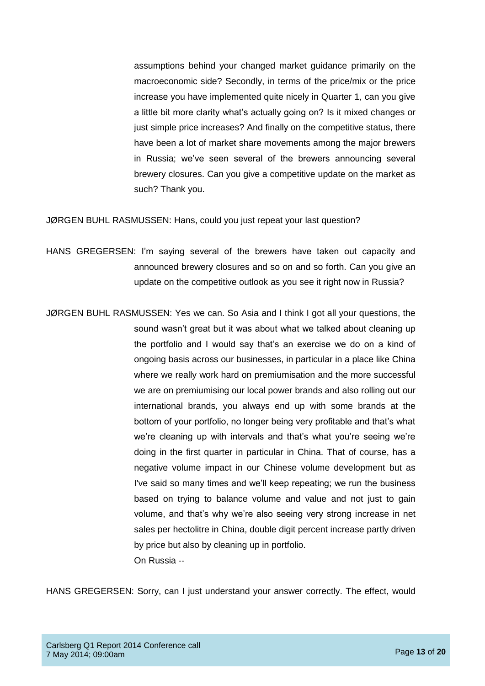assumptions behind your changed market guidance primarily on the macroeconomic side? Secondly, in terms of the price/mix or the price increase you have implemented quite nicely in Quarter 1, can you give a little bit more clarity what's actually going on? Is it mixed changes or just simple price increases? And finally on the competitive status, there have been a lot of market share movements among the major brewers in Russia; we've seen several of the brewers announcing several brewery closures. Can you give a competitive update on the market as such? Thank you.

JØRGEN BUHL RASMUSSEN: Hans, could you just repeat your last question?

HANS GREGERSEN: I'm saying several of the brewers have taken out capacity and announced brewery closures and so on and so forth. Can you give an update on the competitive outlook as you see it right now in Russia?

JØRGEN BUHL RASMUSSEN: Yes we can. So Asia and I think I got all your questions, the sound wasn't great but it was about what we talked about cleaning up the portfolio and I would say that's an exercise we do on a kind of ongoing basis across our businesses, in particular in a place like China where we really work hard on premiumisation and the more successful we are on premiumising our local power brands and also rolling out our international brands, you always end up with some brands at the bottom of your portfolio, no longer being very profitable and that's what we're cleaning up with intervals and that's what you're seeing we're doing in the first quarter in particular in China. That of course, has a negative volume impact in our Chinese volume development but as I've said so many times and we'll keep repeating; we run the business based on trying to balance volume and value and not just to gain volume, and that's why we're also seeing very strong increase in net sales per hectolitre in China, double digit percent increase partly driven by price but also by cleaning up in portfolio. On Russia --

HANS GREGERSEN: Sorry, can I just understand your answer correctly. The effect, would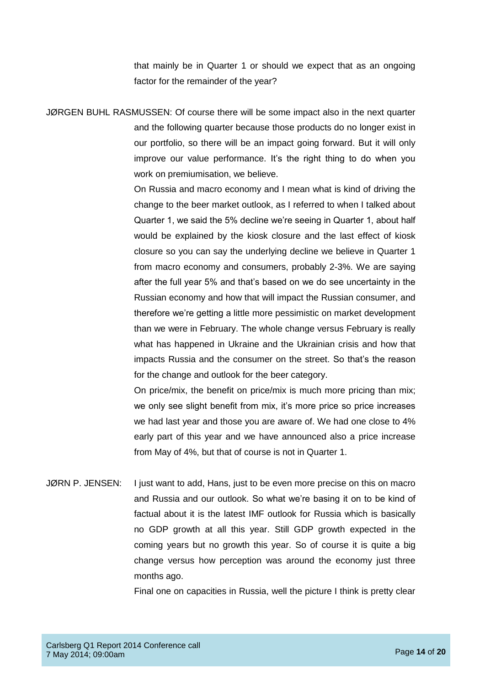that mainly be in Quarter 1 or should we expect that as an ongoing factor for the remainder of the year?

JØRGEN BUHL RASMUSSEN: Of course there will be some impact also in the next quarter and the following quarter because those products do no longer exist in our portfolio, so there will be an impact going forward. But it will only improve our value performance. It's the right thing to do when you work on premiumisation, we believe.

> On Russia and macro economy and I mean what is kind of driving the change to the beer market outlook, as I referred to when I talked about Quarter 1, we said the 5% decline we're seeing in Quarter 1, about half would be explained by the kiosk closure and the last effect of kiosk closure so you can say the underlying decline we believe in Quarter 1 from macro economy and consumers, probably 2-3%. We are saying after the full year 5% and that's based on we do see uncertainty in the Russian economy and how that will impact the Russian consumer, and therefore we're getting a little more pessimistic on market development than we were in February. The whole change versus February is really what has happened in Ukraine and the Ukrainian crisis and how that impacts Russia and the consumer on the street. So that's the reason for the change and outlook for the beer category.

> On price/mix, the benefit on price/mix is much more pricing than mix; we only see slight benefit from mix, it's more price so price increases we had last year and those you are aware of. We had one close to 4% early part of this year and we have announced also a price increase from May of 4%, but that of course is not in Quarter 1.

JØRN P. JENSEN: I just want to add, Hans, just to be even more precise on this on macro and Russia and our outlook. So what we're basing it on to be kind of factual about it is the latest IMF outlook for Russia which is basically no GDP growth at all this year. Still GDP growth expected in the coming years but no growth this year. So of course it is quite a big change versus how perception was around the economy just three months ago.

Final one on capacities in Russia, well the picture I think is pretty clear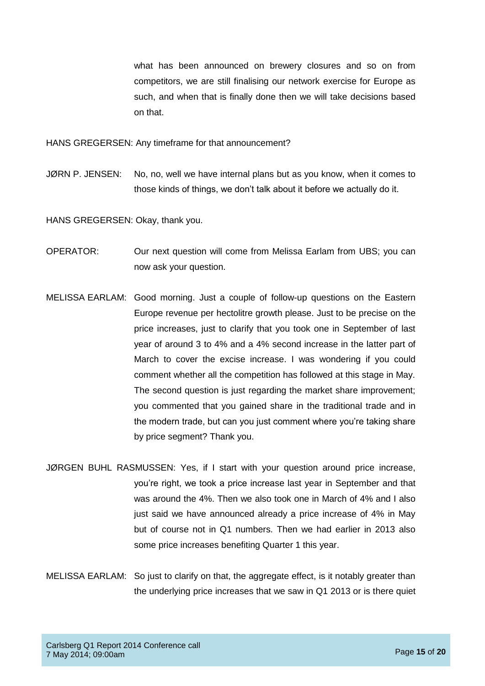what has been announced on brewery closures and so on from competitors, we are still finalising our network exercise for Europe as such, and when that is finally done then we will take decisions based on that.

HANS GREGERSEN: Any timeframe for that announcement?

JØRN P. JENSEN: No, no, well we have internal plans but as you know, when it comes to those kinds of things, we don't talk about it before we actually do it.

HANS GREGERSEN: Okay, thank you.

- OPERATOR: Our next question will come from Melissa Earlam from UBS; you can now ask your question.
- MELISSA EARLAM: Good morning. Just a couple of follow-up questions on the Eastern Europe revenue per hectolitre growth please. Just to be precise on the price increases, just to clarify that you took one in September of last year of around 3 to 4% and a 4% second increase in the latter part of March to cover the excise increase. I was wondering if you could comment whether all the competition has followed at this stage in May. The second question is just regarding the market share improvement; you commented that you gained share in the traditional trade and in the modern trade, but can you just comment where you're taking share by price segment? Thank you.
- JØRGEN BUHL RASMUSSEN: Yes, if I start with your question around price increase, you're right, we took a price increase last year in September and that was around the 4%. Then we also took one in March of 4% and I also just said we have announced already a price increase of 4% in May but of course not in Q1 numbers. Then we had earlier in 2013 also some price increases benefiting Quarter 1 this year.
- MELISSA EARLAM: So just to clarify on that, the aggregate effect, is it notably greater than the underlying price increases that we saw in Q1 2013 or is there quiet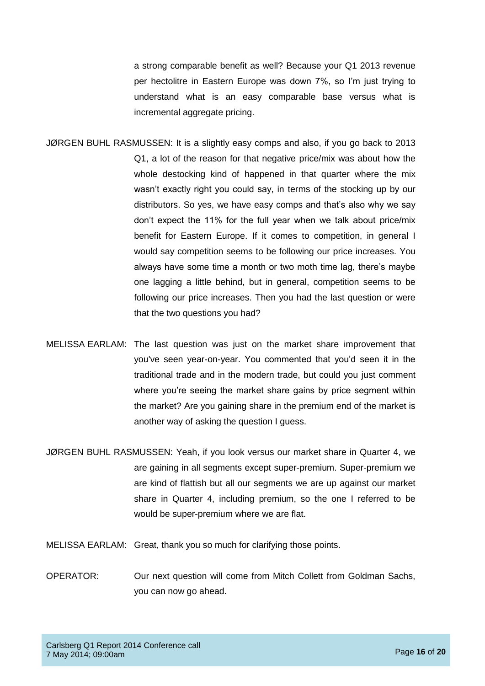a strong comparable benefit as well? Because your Q1 2013 revenue per hectolitre in Eastern Europe was down 7%, so I'm just trying to understand what is an easy comparable base versus what is incremental aggregate pricing.

- JØRGEN BUHL RASMUSSEN: It is a slightly easy comps and also, if you go back to 2013 Q1, a lot of the reason for that negative price/mix was about how the whole destocking kind of happened in that quarter where the mix wasn't exactly right you could say, in terms of the stocking up by our distributors. So yes, we have easy comps and that's also why we say don't expect the 11% for the full year when we talk about price/mix benefit for Eastern Europe. If it comes to competition, in general I would say competition seems to be following our price increases. You always have some time a month or two moth time lag, there's maybe one lagging a little behind, but in general, competition seems to be following our price increases. Then you had the last question or were that the two questions you had?
- MELISSA EARLAM: The last question was just on the market share improvement that you've seen year-on-year. You commented that you'd seen it in the traditional trade and in the modern trade, but could you just comment where you're seeing the market share gains by price segment within the market? Are you gaining share in the premium end of the market is another way of asking the question I guess.
- JØRGEN BUHL RASMUSSEN: Yeah, if you look versus our market share in Quarter 4, we are gaining in all segments except super-premium. Super-premium we are kind of flattish but all our segments we are up against our market share in Quarter 4, including premium, so the one I referred to be would be super-premium where we are flat.
- MELISSA EARLAM: Great, thank you so much for clarifying those points.
- OPERATOR: Our next question will come from Mitch Collett from Goldman Sachs, you can now go ahead.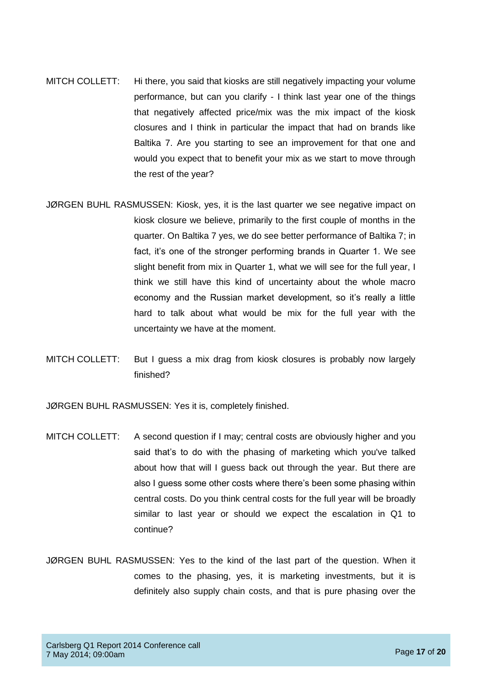- MITCH COLLETT: Hi there, you said that kiosks are still negatively impacting your volume performance, but can you clarify - I think last year one of the things that negatively affected price/mix was the mix impact of the kiosk closures and I think in particular the impact that had on brands like Baltika 7. Are you starting to see an improvement for that one and would you expect that to benefit your mix as we start to move through the rest of the year?
- JØRGEN BUHL RASMUSSEN: Kiosk, yes, it is the last quarter we see negative impact on kiosk closure we believe, primarily to the first couple of months in the quarter. On Baltika 7 yes, we do see better performance of Baltika 7; in fact, it's one of the stronger performing brands in Quarter 1. We see slight benefit from mix in Quarter 1, what we will see for the full year, I think we still have this kind of uncertainty about the whole macro economy and the Russian market development, so it's really a little hard to talk about what would be mix for the full year with the uncertainty we have at the moment.
- MITCH COLLETT: But I guess a mix drag from kiosk closures is probably now largely finished?

JØRGEN BUHL RASMUSSEN: Yes it is, completely finished.

- MITCH COLLETT: A second question if I may; central costs are obviously higher and you said that's to do with the phasing of marketing which you've talked about how that will I guess back out through the year. But there are also I guess some other costs where there's been some phasing within central costs. Do you think central costs for the full year will be broadly similar to last year or should we expect the escalation in Q1 to continue?
- JØRGEN BUHL RASMUSSEN: Yes to the kind of the last part of the question. When it comes to the phasing, yes, it is marketing investments, but it is definitely also supply chain costs, and that is pure phasing over the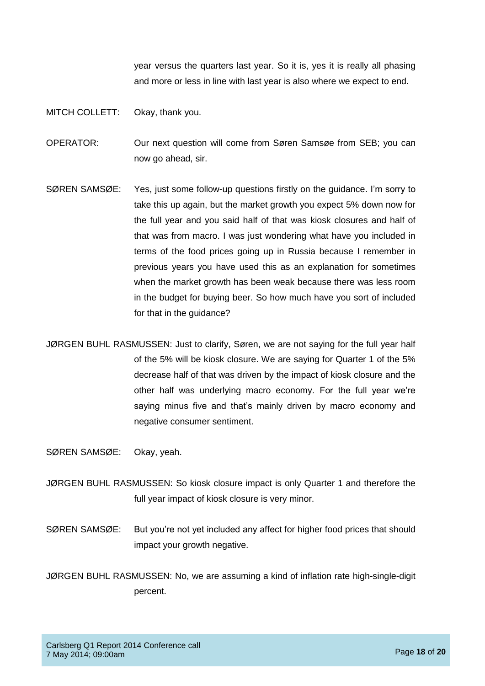year versus the quarters last year. So it is, yes it is really all phasing and more or less in line with last year is also where we expect to end.

MITCH COLLETT: Okay, thank you.

OPERATOR: Our next question will come from Søren Samsøe from SEB; you can now go ahead, sir.

- SØREN SAMSØE: Yes, just some follow-up questions firstly on the guidance. I'm sorry to take this up again, but the market growth you expect 5% down now for the full year and you said half of that was kiosk closures and half of that was from macro. I was just wondering what have you included in terms of the food prices going up in Russia because I remember in previous years you have used this as an explanation for sometimes when the market growth has been weak because there was less room in the budget for buying beer. So how much have you sort of included for that in the guidance?
- JØRGEN BUHL RASMUSSEN: Just to clarify, Søren, we are not saying for the full year half of the 5% will be kiosk closure. We are saying for Quarter 1 of the 5% decrease half of that was driven by the impact of kiosk closure and the other half was underlying macro economy. For the full year we're saying minus five and that's mainly driven by macro economy and negative consumer sentiment.

SØREN SAMSØE: Okay, yeah.

- JØRGEN BUHL RASMUSSEN: So kiosk closure impact is only Quarter 1 and therefore the full year impact of kiosk closure is very minor.
- SØREN SAMSØE: But you're not yet included any affect for higher food prices that should impact your growth negative.
- JØRGEN BUHL RASMUSSEN: No, we are assuming a kind of inflation rate high-single-digit percent.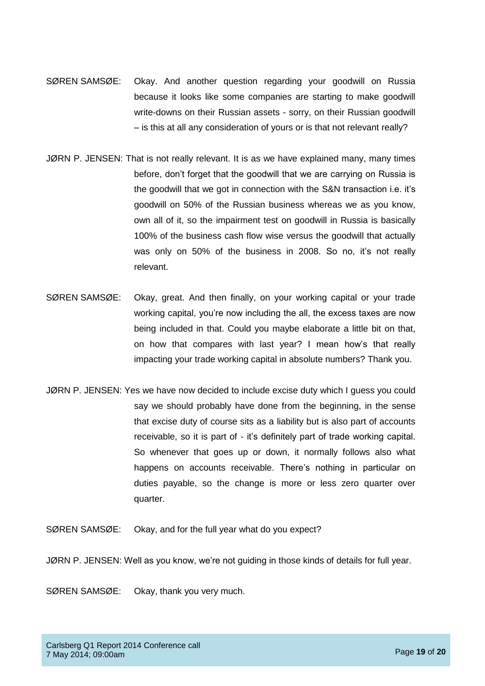- SØREN SAMSØE: Okay. And another question regarding your goodwill on Russia because it looks like some companies are starting to make goodwill write-downs on their Russian assets - sorry, on their Russian goodwill – is this at all any consideration of yours or is that not relevant really?
- JØRN P. JENSEN: That is not really relevant. It is as we have explained many, many times before, don't forget that the goodwill that we are carrying on Russia is the goodwill that we got in connection with the S&N transaction i.e. it's goodwill on 50% of the Russian business whereas we as you know, own all of it, so the impairment test on goodwill in Russia is basically 100% of the business cash flow wise versus the goodwill that actually was only on 50% of the business in 2008. So no, it's not really relevant.
- SØREN SAMSØE: Okay, great. And then finally, on your working capital or your trade working capital, you're now including the all, the excess taxes are now being included in that. Could you maybe elaborate a little bit on that, on how that compares with last year? I mean how's that really impacting your trade working capital in absolute numbers? Thank you.
- JØRN P. JENSEN: Yes we have now decided to include excise duty which I guess you could say we should probably have done from the beginning, in the sense that excise duty of course sits as a liability but is also part of accounts receivable, so it is part of - it's definitely part of trade working capital. So whenever that goes up or down, it normally follows also what happens on accounts receivable. There's nothing in particular on duties payable, so the change is more or less zero quarter over quarter.
- SØREN SAMSØE: Okay, and for the full year what do you expect?
- JØRN P. JENSEN: Well as you know, we're not guiding in those kinds of details for full year.
- SØREN SAMSØE: Okay, thank you very much.